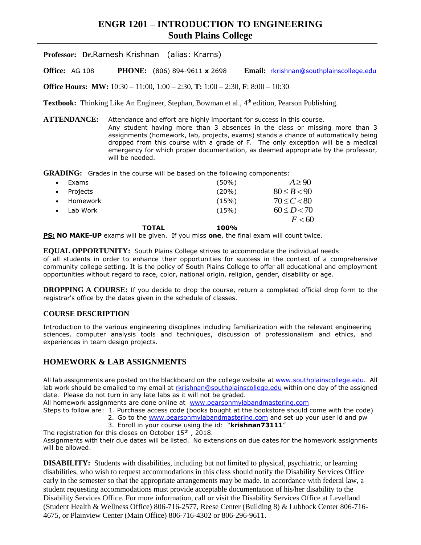# **ENGR 1201 – INTRODUCTION TO ENGINEERING South Plains College**

**Professor: Dr.**Ramesh Krishnan (alias: Krams)

**Office:** AG 108 **PHONE:** (806) 894-9611 **x** 2698 **Email:** [rkrishnan@southplainscollege.edu](mailto:rkrishnan@southplainscollege.edu)

**Office Hours: MW:** 10:30 – 11:00, 1:00 – 2:30, **T:** 1:00 – 2:30, **F**: 8:00 – 10:30

Textbook: Thinking Like An Engineer, Stephan, Bowman et al., 4<sup>th</sup> edition, Pearson Publishing.

**ATTENDANCE:** Attendance and effort are highly important for success in this course. Any student having more than 3 absences in the class or missing more than 3 assignments (homework, lab, projects, exams) stands a chance of automatically being dropped from this course with a grade of F. The only exception will be a medical emergency for which proper documentation, as deemed appropriate by the professor, will be needed.

GRADING: Grades in the course will be based on the following components:

| Exams    |              | $(50\%)$ | $A \geq 90$     |
|----------|--------------|----------|-----------------|
| Projects |              | $(20\%)$ | $80 \le B < 90$ |
| Homework |              | (15%)    | $70 \le C < 80$ |
| Lab Work |              | (15%)    | $60 \le D < 70$ |
|          |              |          | F < 60          |
|          | <b>TOTAL</b> | 100%     |                 |

**PS: NO MAKE-UP** exams will be given. If you miss **one**, the final exam will count twice.

**EQUAL OPPORTUNITY:** South Plains College strives to accommodate the individual needs of all students in order to enhance their opportunities for success in the context of a comprehensive community college setting. It is the policy of South Plains College to offer all educational and employment opportunities without regard to race, color, national origin, religion, gender, disability or age.

**DROPPING A COURSE:** If you decide to drop the course, return a completed official drop form to the registrar's office by the dates given in the schedule of classes.

#### **COURSE DESCRIPTION**

Introduction to the various engineering disciplines including familiarization with the relevant engineering sciences, computer analysis tools and techniques, discussion of professionalism and ethics, and experiences in team design projects.

# **HOMEWORK & LAB ASSIGNMENTS**

All lab assignments are posted on the blackboard on the college website at [www.southplainscollege.edu.](http://www.southplainscollege.edu/) All lab work should be emailed to my email at [rkrishnan@southplainscollege.edu](mailto:rkrishnan@southplainscollege.edu) within one day of the assigned date. Please do not turn in any late labs as it will not be graded.

All homework assignments are done online at [www.pearsonmylabandmastering.com](http://www.pearsonmylabandmastering.com/)

Steps to follow are: 1. Purchase access code (books bought at the bookstore should come with the code) 2. Go to the [www.pearsonmylabandmastering.com](http://www.pearsonmylabandmastering.com/) and set up your user id and pw

3. Enroll in your course using the id: "**krishnan73111**"

The registration for this closes on October 15<sup>th</sup>, 2018. Assignments with their due dates will be listed. No extensions on due dates for the homework assignments will be allowed.

**DISABILITY:** Students with disabilities, including but not limited to physical, psychiatric, or learning disabilities, who wish to request accommodations in this class should notify the Disability Services Office early in the semester so that the appropriate arrangements may be made. In accordance with federal law, a student requesting accommodations must provide acceptable documentation of his/her disability to the Disability Services Office. For more information, call or visit the Disability Services Office at Levelland (Student Health & Wellness Office) 806-716-2577, Reese Center (Building 8) & Lubbock Center 806-716- 4675, or Plainview Center (Main Office) 806-716-4302 or 806-296-9611.